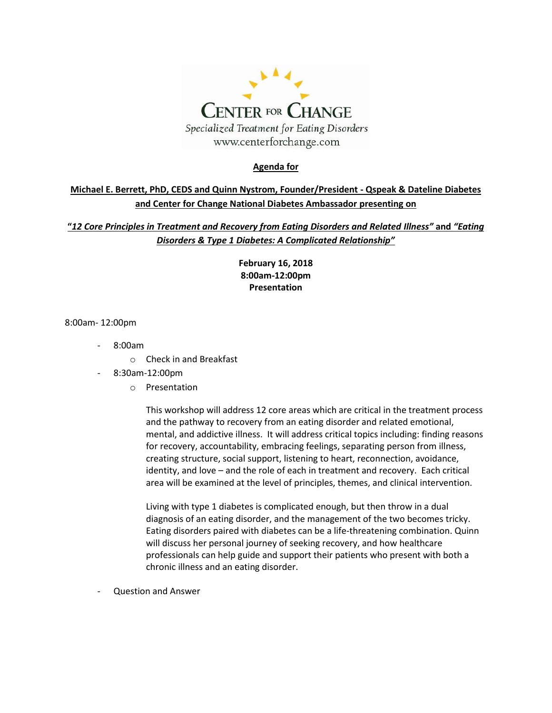

#### **Agenda for**

### **Michael E. Berrett, PhD, CEDS and Quinn Nystrom, Founder/President - Qspeak & Dateline Diabetes and Center for Change National Diabetes Ambassador presenting on**

**"***12 Core Principles in Treatment and Recovery from Eating Disorders and Related Illness"* **and** *"Eating Disorders & Type 1 Diabetes: A Complicated Relationship"*

> **February 16, 2018 8:00am-12:00pm Presentation**

8:00am- 12:00pm

- $8:00am$ 
	- o Check in and Breakfast
- 8:30am-12:00pm
	- o Presentation

This workshop will address 12 core areas which are critical in the treatment process and the pathway to recovery from an eating disorder and related emotional, mental, and addictive illness. It will address critical topics including: finding reasons for recovery, accountability, embracing feelings, separating person from illness, creating structure, social support, listening to heart, reconnection, avoidance, identity, and love – and the role of each in treatment and recovery. Each critical area will be examined at the level of principles, themes, and clinical intervention.

Living with type 1 diabetes is complicated enough, but then throw in a dual diagnosis of an eating disorder, and the management of the two becomes tricky. Eating disorders paired with diabetes can be a life-threatening combination. Quinn will discuss her personal journey of seeking recovery, and how healthcare professionals can help guide and support their patients who present with both a chronic illness and an eating disorder.

- Question and Answer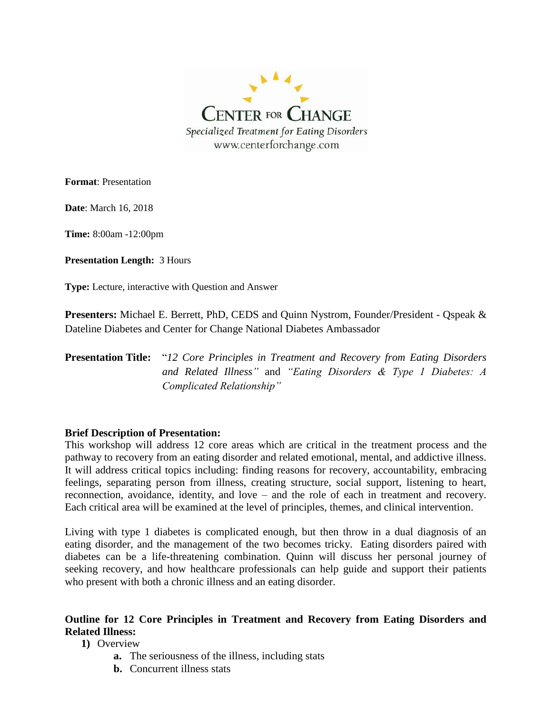

**Format**: Presentation

**Date**: March 16, 2018

**Time:** 8:00am -12:00pm

**Presentation Length:** 3 Hours

**Type:** Lecture, interactive with Question and Answer

**Presenters:** Michael E. Berrett, PhD, CEDS and Quinn Nystrom, Founder/President - Qspeak & Dateline Diabetes and Center for Change National Diabetes Ambassador

## **Presentation Title:** "*12 Core Principles in Treatment and Recovery from Eating Disorders and Related Illness"* and *"Eating Disorders & Type 1 Diabetes: A Complicated Relationship"*

#### **Brief Description of Presentation:**

This workshop will address 12 core areas which are critical in the treatment process and the pathway to recovery from an eating disorder and related emotional, mental, and addictive illness. It will address critical topics including: finding reasons for recovery, accountability, embracing feelings, separating person from illness, creating structure, social support, listening to heart, reconnection, avoidance, identity, and love – and the role of each in treatment and recovery. Each critical area will be examined at the level of principles, themes, and clinical intervention.

Living with type 1 diabetes is complicated enough, but then throw in a dual diagnosis of an eating disorder, and the management of the two becomes tricky. Eating disorders paired with diabetes can be a life-threatening combination. Quinn will discuss her personal journey of seeking recovery, and how healthcare professionals can help guide and support their patients who present with both a chronic illness and an eating disorder.

### **Outline for 12 Core Principles in Treatment and Recovery from Eating Disorders and Related Illness:**

**1)** Overview

- **a.** The seriousness of the illness, including stats
- **b.** Concurrent illness stats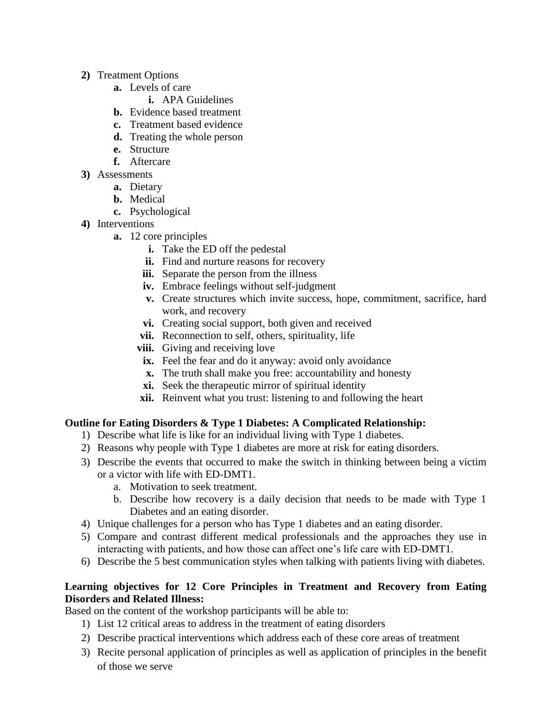- **2)** Treatment Options
	- **a.** Levels of care
		- **i.** APA Guidelines
	- **b.** Evidence based treatment
	- **c.** Treatment based evidence
	- **d.** Treating the whole person
	- **e.** Structure
	- **f.** Aftercare
- **3)** Assessments
	- **a.** Dietary
	- **b.** Medical
	- **c.** Psychological
- **4)** Interventions
	- **a.** 12 core principles
		- **i.** Take the ED off the pedestal
		- **ii.** Find and nurture reasons for recovery
		- **iii.** Separate the person from the illness
		- **iv.** Embrace feelings without self-judgment
		- **v.** Create structures which invite success, hope, commitment, sacrifice, hard work, and recovery
		- **vi.** Creating social support, both given and received
		- **vii.** Reconnection to self, others, spirituality, life
		- **viii.** Giving and receiving love
		- **ix.** Feel the fear and do it anyway: avoid only avoidance
		- **x.** The truth shall make you free: accountability and honesty
		- **xi.** Seek the therapeutic mirror of spiritual identity
		- **xii.** Reinvent what you trust: listening to and following the heart

### **Outline for Eating Disorders & Type 1 Diabetes: A Complicated Relationship:**

- 1) Describe what life is like for an individual living with Type 1 diabetes.
- 2) Reasons why people with Type 1 diabetes are more at risk for eating disorders.
- 3) Describe the events that occurred to make the switch in thinking between being a victim or a victor with life with ED-DMT1.
	- a. Motivation to seek treatment.
	- b. Describe how recovery is a daily decision that needs to be made with Type 1 Diabetes and an eating disorder.
- 4) Unique challenges for a person who has Type 1 diabetes and an eating disorder.
- 5) Compare and contrast different medical professionals and the approaches they use in interacting with patients, and how those can affect one's life care with ED-DMT1.
- 6) Describe the 5 best communication styles when talking with patients living with diabetes.

## **Learning objectives for 12 Core Principles in Treatment and Recovery from Eating Disorders and Related Illness:**

Based on the content of the workshop participants will be able to:

- 1) List 12 critical areas to address in the treatment of eating disorders
- 2) Describe practical interventions which address each of these core areas of treatment
- 3) Recite personal application of principles as well as application of principles in the benefit of those we serve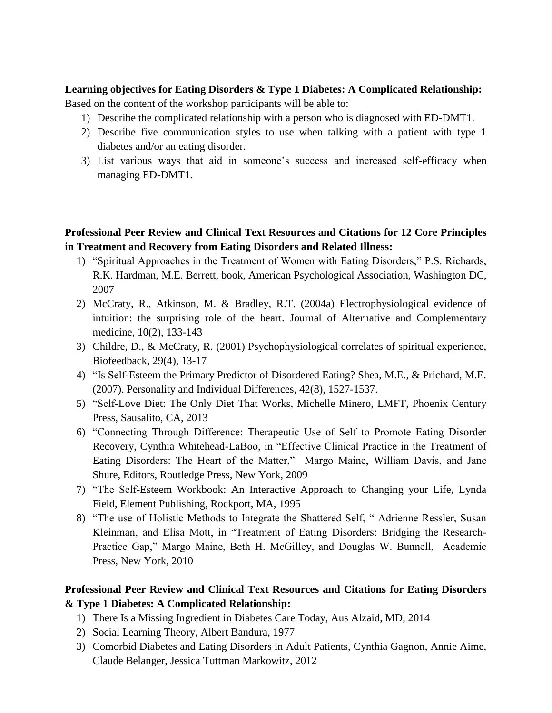## **Learning objectives for Eating Disorders & Type 1 Diabetes: A Complicated Relationship:**

Based on the content of the workshop participants will be able to:

- 1) Describe the complicated relationship with a person who is diagnosed with ED-DMT1.
- 2) Describe five communication styles to use when talking with a patient with type 1 diabetes and/or an eating disorder.
- 3) List various ways that aid in someone's success and increased self-efficacy when managing ED-DMT1.

## **Professional Peer Review and Clinical Text Resources and Citations for 12 Core Principles in Treatment and Recovery from Eating Disorders and Related Illness:**

- 1) "Spiritual Approaches in the Treatment of Women with Eating Disorders," P.S. Richards, R.K. Hardman, M.E. Berrett, book, American Psychological Association, Washington DC, 2007
- 2) McCraty, R., Atkinson, M. & Bradley, R.T. (2004a) Electrophysiological evidence of intuition: the surprising role of the heart. Journal of Alternative and Complementary medicine, 10(2), 133-143
- 3) Childre, D., & McCraty, R. (2001) Psychophysiological correlates of spiritual experience, Biofeedback, 29(4), 13-17
- 4) "Is Self-Esteem the Primary Predictor of Disordered Eating? Shea, M.E., & Prichard, M.E. (2007). Personality and Individual Differences, 42(8), 1527-1537.
- 5) "Self-Love Diet: The Only Diet That Works, Michelle Minero, LMFT, Phoenix Century Press, Sausalito, CA, 2013
- 6) "Connecting Through Difference: Therapeutic Use of Self to Promote Eating Disorder Recovery, Cynthia Whitehead-LaBoo, in "Effective Clinical Practice in the Treatment of Eating Disorders: The Heart of the Matter," Margo Maine, William Davis, and Jane Shure, Editors, Routledge Press, New York, 2009
- 7) "The Self-Esteem Workbook: An Interactive Approach to Changing your Life, Lynda Field, Element Publishing, Rockport, MA, 1995
- 8) "The use of Holistic Methods to Integrate the Shattered Self, " Adrienne Ressler, Susan Kleinman, and Elisa Mott, in "Treatment of Eating Disorders: Bridging the Research-Practice Gap," Margo Maine, Beth H. McGilley, and Douglas W. Bunnell, Academic Press, New York, 2010

# **Professional Peer Review and Clinical Text Resources and Citations for Eating Disorders & Type 1 Diabetes: A Complicated Relationship:**

- 1) There Is a Missing Ingredient in Diabetes Care Today, Aus Alzaid, MD, 2014
- 2) Social Learning Theory, Albert Bandura, 1977
- 3) Comorbid Diabetes and Eating Disorders in Adult Patients, Cynthia Gagnon, Annie Aime, Claude Belanger, Jessica Tuttman Markowitz, 2012